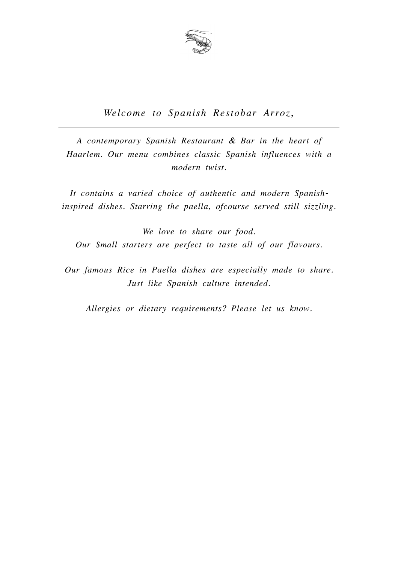

#### *Welcome to Spanish Restobar Arroz,*

*A contemporary Spanish Restaurant & Bar in the heart of Haarlem. Our menu combines classic Spanish influences with a modern twist.*

*It contains a varied choice of authentic and modern Spanishinspired dishes. Starring the paella, ofcourse served still sizzling.* 

*We love to share our food. Our Small starters are perfect to taste all of our flavours.* 

*Our famous Rice in Paella dishes are especially made to share. Just like Spanish culture intended.* 

*Allergies or dietary requirements? Please let us know.*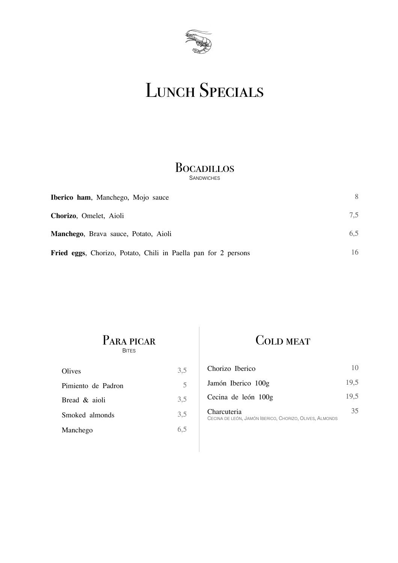

# LUNCH SPECIALS

#### **B**ocadillos **SANDWICHES**

| <b>Iberico ham, Manchego, Mojo sauce</b>                       | 8   |
|----------------------------------------------------------------|-----|
| Chorizo, Omelet, Aioli                                         | 7.5 |
| <b>Manchego</b> , Brava sauce, Potato, Aioli                   | 6,5 |
| Fried eggs, Chorizo, Potato, Chili in Paella pan for 2 persons | 16  |

PARA PICAR BITES

| 3,5 |
|-----|
| 5   |
| 3,5 |
| 3,5 |
| 6.5 |
|     |

### COLD MEAT

| Chorizo Iberico                                                        | 10   |
|------------------------------------------------------------------------|------|
| Jamón Iberico 100g                                                     | 19.5 |
| Cecina de león 100g                                                    | 19.5 |
| Charcuteria<br>CECINA DE LEÓN, JAMÓN IBERICO, CHORIZO, OLIVES, ALMONDS | 35   |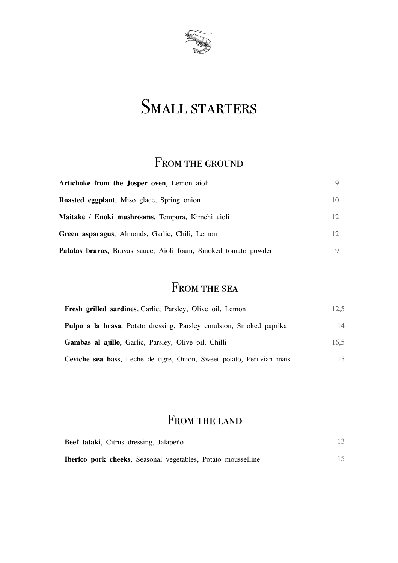

# SMALL STARTERS

### FROM THE GROUND

| Artichoke from the Josper oven, Lemon aioli                           |                 |
|-----------------------------------------------------------------------|-----------------|
| <b>Roasted eggplant</b> , Miso glace, Spring onion                    | 10              |
| Maitake / Enoki mushrooms, Tempura, Kimchi aioli                      | 12 <sub>1</sub> |
| Green asparagus, Almonds, Garlic, Chili, Lemon                        | 12 <sub>1</sub> |
| <b>Patatas bravas,</b> Bravas sauce, Aioli foam, Smoked tomato powder |                 |

### FROM THE SEA

| Fresh grilled sardines, Garlic, Parsley, Olive oil, Lemon            | 12.5 |
|----------------------------------------------------------------------|------|
| Pulpo a la brasa, Potato dressing, Parsley emulsion, Smoked paprika  | 14   |
| <b>Gambas al ajillo,</b> Garlic, Parsley, Olive oil, Chilli          | 16.5 |
| Ceviche sea bass, Leche de tigre, Onion, Sweet potato, Peruvian mais |      |

### FROM THE LAND

| Beef tataki, Citrus dressing, Jalapeño                              |  |
|---------------------------------------------------------------------|--|
| <b>Iberico pork cheeks, Seasonal vegetables, Potato mousselline</b> |  |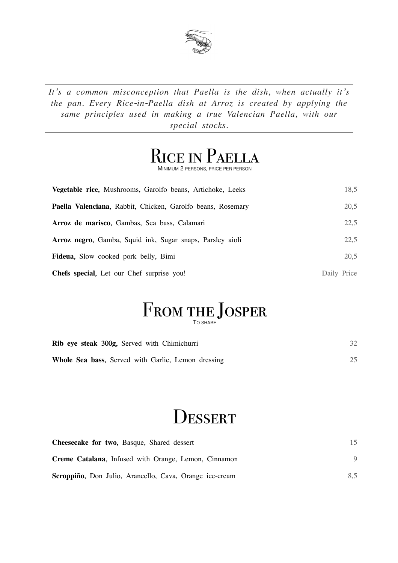

*It's a common misconception that Paella is the dish, when actually it's the pan. Every Rice-in-Paella dish at Arroz is created by applying the same principles used in making a true Valencian Paella, with our special stocks.* 

# Rice in Paella

MINIMUM 2 PERSONS, PRICE PER PERSON

| <b>Vegetable rice, Mushrooms, Garolfo beans, Artichoke, Leeks</b> | 18,5        |
|-------------------------------------------------------------------|-------------|
| Paella Valenciana, Rabbit, Chicken, Garolfo beans, Rosemary       | 20,5        |
| Arroz de marisco, Gambas, Sea bass, Calamari                      | 22,5        |
| <b>Arroz negro,</b> Gamba, Squid ink, Sugar snaps, Parsley aioli  | 22,5        |
| <b>Fideua,</b> Slow cooked pork belly, Bimi                       | 20,5        |
| <b>Chefs special,</b> Let our Chef surprise you!                  | Daily Price |

#### FROM THE JOSPER TO SHARE

| <b>Rib eye steak 300g, Served with Chimichurri</b> | 32 |
|----------------------------------------------------|----|
| Whole Sea bass, Served with Garlic, Lemon dressing |    |

# **DESSERT**

| Cheesecake for two, Basque, Shared dessert                  |     |
|-------------------------------------------------------------|-----|
| <b>Creme Catalana, Infused with Orange, Lemon, Cinnamon</b> |     |
| Scroppiño, Don Julio, Arancello, Cava, Orange ice-cream     | 8,5 |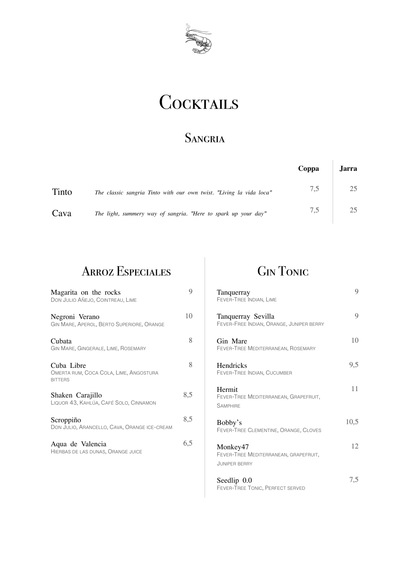

# **COCKTAILS**

#### **SANGRIA**

|       |                                                                     | Coppa | <b>Jarra</b> |
|-------|---------------------------------------------------------------------|-------|--------------|
| Tinto | The classic sangria Tinto with our own twist. "Living la vida loca" | 7,5   | 25           |
| Cava  | The light, summery way of sangria. "Here to spark up your day"      | 7,5   | 25           |

### Arroz Especiales

| Magarita on the rocks<br>DON JULIO AÑEJO, COINTREAU, LIME              | Q   |
|------------------------------------------------------------------------|-----|
| Negroni Verano<br>GIN MARE, APEROL, BERTO SUPERIORE, ORANGE            | 10  |
| Cubata<br>GIN MARE, GINGERALE, LIME, ROSEMARY                          | 8   |
| Cuba Libre<br>OMERTA RUM, COCA COLA, LIME, ANGOSTURA<br><b>BITTERS</b> | 8   |
| Shaken Carajillo<br>LIQUOR 43, KAHLÚA, CAFÉ SOLO, CINNAMON             | 8,5 |
| Scroppiño<br>DON JULIO, ARANCELLO, CAVA, ORANGE ICE-CREAM              | 8,5 |
| Aqua de Valencia<br>HIERBAS DE LAS DUNAS, ORANGE JUICE                 | 6,5 |

### Gin Tonic

| Tanquerray<br>FEVER-TREE INDIAN, LIME                                     | 9    |
|---------------------------------------------------------------------------|------|
| Tanquerray Sevilla<br>FEVER-FREE INDIAN, ORANGE, JUNIPER BERRY            | 9    |
| Gin Mare<br>FEVER-TREE MEDITERRANEAN, ROSEMARY                            | 10   |
| Hendricks<br>FEVER-TREE INDIAN, CUCUMBER                                  | 9,5  |
| Hermit<br>FEVER-TREE MEDITERRANEAN, GRAPEFRUIT,<br><b>SAMPHIRE</b>        | 11   |
| Bobby's<br>FEVER-TREE CLEMENTINE, ORANGE, CLOVES                          | 10,5 |
| Monkey47<br>FEVER-TREE MEDITERRANEAN, GRAPEFRUIT,<br><b>JUNIPER BERRY</b> | 12   |
| Seedlip 0.0                                                               | 7,5  |

FEVER-TREE TONIC, PERFECT SERVED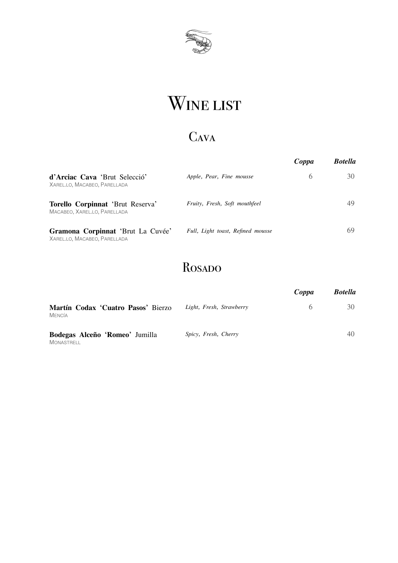

# WINE LIST

# Cava

|                                                                   |                                   | Coppa | <b>Botella</b> |
|-------------------------------------------------------------------|-----------------------------------|-------|----------------|
| d'Arciac Cava 'Brut Selecció'<br>XAREL.LO, MACABEO, PARELLADA     | Apple, Pear, Fine mousse          | 6     | 30             |
| Torello Corpinnat 'Brut Reserva'<br>MACABEO, XAREL.LO, PARELLADA  | Fruity, Fresh, Soft mouthfeel     |       | 49             |
| Gramona Corpinnat 'Brut La Cuvée'<br>XAREL.LO, MACABEO, PARELLADA | Full, Light toast, Refined mousse |       | 69             |

### Rosado

|                                                     |                          | Coppa | <b>Botella</b> |
|-----------------------------------------------------|--------------------------|-------|----------------|
| Martín Codax 'Cuatro Pasos' Bierzo<br>MENCÍA        | Light, Fresh, Strawberry | 6     | 30             |
| Bodegas Alceño 'Romeo' Jumilla<br><b>MONASTRELL</b> | Spicy, Fresh, Cherry     |       | 40             |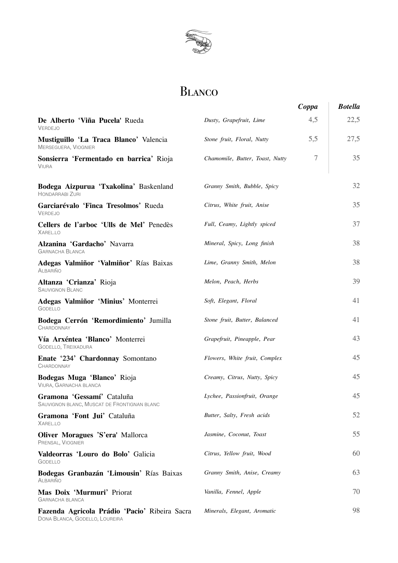

#### Blanco

|                                                                                 |                                 | Coppa | <b>Botella</b> |
|---------------------------------------------------------------------------------|---------------------------------|-------|----------------|
| De Alberto 'Viña Pucela' Rueda<br><b>VERDEJO</b>                                | Dusty, Grapefruit, Lime         | 4,5   | 22,5           |
| Mustiguillo 'La Traca Blanco' Valencia<br>MERSEGUERA, VIOGNIER                  | Stone fruit, Floral, Nutty      | 5,5   | 27,5           |
| Sonsierra 'Fermentado en barrica' Rioja<br><b>VIURA</b>                         | Chamomile, Butter, Toast, Nutty | 7     | 35             |
| Bodega Aizpurua 'Txakolina' Baskenland<br>HONDARRABI ZURI                       | Granny Smith, Bubble, Spicy     |       | 32             |
| Garciarévalo 'Finca Tresolmos' Rueda<br><b>VERDEJO</b>                          | Citrus, White fruit, Anise      |       | 35             |
| Cellers de l'arboc 'Ulls de Mel' Penedès<br>XAREL.LO                            | Full, Ceamy, Lightly spiced     |       | 37             |
| Alzanina 'Gardacho' Navarra<br><b>GARNACHA BLANCA</b>                           | Mineral, Spicy, Long finish     |       | 38             |
| Adegas Valmiñor 'Valmiñor' Rías Baixas<br><b>ALBARIÑO</b>                       | Lime, Granny Smith, Melon       |       | 38             |
| Altanza 'Crianza' Rioja<br><b>SAUVIGNON BLANC</b>                               | Melon, Peach, Herbs             |       | 39             |
| Adegas Valmiñor 'Minius' Monterrei<br><b>GODELLO</b>                            | Soft, Elegant, Floral           |       | 41             |
| Bodega Cerrón 'Remordimiento' Jumilla<br><b>CHARDONNAY</b>                      | Stone fruit, Butter, Balanced   |       | 41             |
| Vía Arxéntea 'Blanco' Monterrei<br>GODELLO, TREIXADURA                          | Grapefruit, Pineapple, Pear     |       | 43             |
| Enate '234' Chardonnay Somontano<br><b>CHARDONNAY</b>                           | Flowers, White fruit, Complex   |       | 45             |
| Bodegas Muga 'Blanco' Rioja<br>VIURA, GARNACHA BLANCA                           | Creamy, Citrus, Nutty, Spicy    |       | 45             |
| Gramona 'Gessamí' Cataluña<br>SAUVIGNON BLANC, MUSCAT DE FRONTIGNAN BLANC       | Lychee, Passionfruit, Orange    |       | 45             |
| Gramona 'Font Jui' Cataluña<br>XAREL.LO                                         | Butter, Salty, Fresh acids      |       | 52             |
| Oliver Moragues 'S'era' Mallorca<br>PRENSAL, VIOGNIER                           | Jasmine, Coconut, Toast         |       | 55             |
| Valdeorras 'Louro do Bolo' Galicia<br><b>GODELLO</b>                            | Citrus, Yellow fruit, Wood      |       | 60             |
| Bodegas Granbazán 'Limousin' Rías Baixas<br><b>ALBARIÑO</b>                     | Granny Smith, Anise, Creamy     |       | 63             |
| Mas Doix 'Murmuri' Priorat<br><b>GARNACHA BLANCA</b>                            | Vanilla, Fennel, Apple          |       | 70             |
| Fazenda Agricola Prádio 'Pacio' Ribeira Sacra<br>DONA BLANCA, GODELLO, LOUREIRA | Minerals, Elegant, Aromatic     |       | 98             |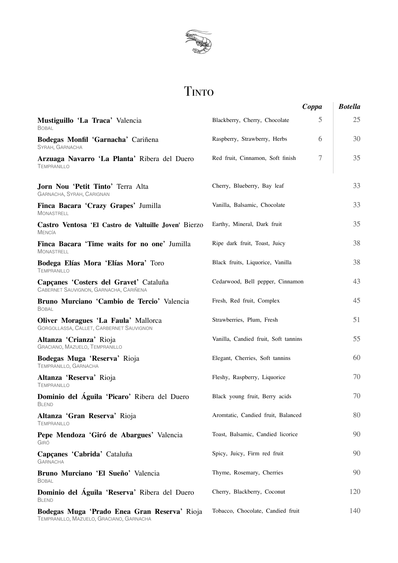

# Tinto

|                                                                                  |                                      | Coppa | <b>Botella</b> |
|----------------------------------------------------------------------------------|--------------------------------------|-------|----------------|
| Mustiguillo 'La Traca' Valencia<br><b>BOBAL</b>                                  | Blackberry, Cherry, Chocolate        | 5     | 25             |
| Bodegas Monfil 'Garnacha' Cariñena<br>SYRAH, GARNACHA                            | Raspberry, Strawberry, Herbs         | 6     | 30             |
| Arzuaga Navarro 'La Planta' Ribera del Duero<br><b>TEMPRANILLO</b>               | Red fruit, Cinnamon, Soft finish     | 7     | 35             |
| Jorn Nou 'Petit Tinto' Terra Alta<br>GARNACHA, SYRAH, CARIGNAN                   | Cherry, Blueberry, Bay leaf          |       | 33             |
| Finca Bacara 'Crazy Grapes' Jumilla<br><b>MONASTRELL</b>                         | Vanilla, Balsamic, Chocolate         |       | 33             |
| Castro Ventosa 'El Castro de Valtuille Joven' Bierzo<br><b>MENCÍA</b>            | Earthy, Mineral, Dark fruit          |       | 35             |
| Finca Bacara 'Time waits for no one' Jumilla<br><b>MONASTRELL</b>                | Ripe dark fruit, Toast, Juicy        |       | 38             |
| Bodega Elías Mora 'Elías Mora' Toro<br><b>TEMPRANILLO</b>                        | Black fruits, Liquorice, Vanilla     |       | 38             |
| Capçanes 'Costers del Gravet' Cataluña<br>CABERNET SAUVIGNON, GARNACHA, CARIÑENA | Cedarwood, Bell pepper, Cinnamon     |       | 43             |
| Bruno Murciano 'Cambio de Tercio' Valencia<br><b>BOBAL</b>                       | Fresh, Red fruit, Complex            |       | 45             |
| Oliver Moragues 'La Faula' Mallorca<br>GORGOLLASSA, CALLET, CARBERNET SAUVIGNON  | Strawberries, Plum, Fresh            |       | 51             |
| Altanza 'Crianza' Rioja<br>GRACIANO, MAZUELO, TEMPRANILLO                        | Vanilla, Candied fruit, Soft tannins |       | 55             |
| Bodegas Muga 'Reserva' Rioja<br>TEMPRANILLO, GARNACHA                            | Elegant, Cherries, Soft tannins      |       | 60             |
| Altanza 'Reserva' Rioja<br><b>TEMPRANILLO</b>                                    | Fleshy, Raspberry, Liquorice         |       | 70             |
| Dominio del Águila 'Picaro' Ribera del Duero<br><b>BLEND</b>                     | Black young fruit, Berry acids       |       | 70             |
| Altanza 'Gran Reserva' Rioja<br><b>TEMPRANILLO</b>                               | Aromtatic, Candied fruit, Balanced   |       | 80             |
| Pepe Mendoza 'Giró de Abargues' Valencia<br>GIRÓ                                 | Toast, Balsamic, Candied licorice    |       | 90             |
| Capçanes 'Cabrida' Cataluña<br><b>GARNACHA</b>                                   | Spicy, Juicy, Firm red fruit         |       | 90             |
| Bruno Murciano 'El Sueño' Valencia<br><b>BOBAL</b>                               | Thyme, Rosemary, Cherries            |       | 90             |
| Dominio del Águila 'Reserva' Ribera del Duero<br><b>BLEND</b>                    | Cherry, Blackberry, Coconut          |       | 120            |
| Bodegas Muga 'Prado Enea Gran Reserva' Rioja                                     | Tobacco, Chocolate, Candied fruit    |       | 140            |

TEMPRANILLO, MAZUELO, GRACIANO, GARNACHA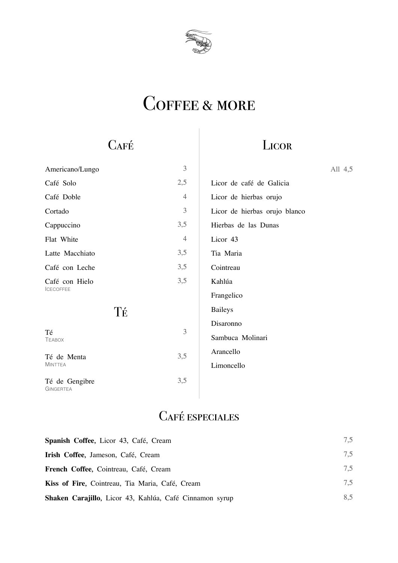

# COFFEE & MORE

# **CAFÉ**

## **LICOR**

| Americano/Lungo                    | 3              | All 4,5                       |  |
|------------------------------------|----------------|-------------------------------|--|
| Café Solo                          | 2,5            | Licor de café de Galicia      |  |
| Café Doble                         | $\overline{4}$ | Licor de hierbas orujo        |  |
| Cortado                            | 3              | Licor de hierbas orujo blanco |  |
| Cappuccino                         | 3,5            | Hierbas de las Dunas          |  |
| Flat White                         | $\overline{4}$ | Licor 43                      |  |
| Latte Macchiato                    | 3,5            | Tia Maria                     |  |
| Café con Leche                     | 3,5            | Cointreau                     |  |
| Café con Hielo                     | 3,5            | Kahlúa                        |  |
| <b>ICECOFFEE</b>                   |                | Frangelico                    |  |
| Té                                 |                | <b>Baileys</b>                |  |
|                                    |                | Disaronno                     |  |
| Té<br><b>TEABOX</b>                | 3              | Sambuca Molinari              |  |
| Té de Menta                        | 3,5            | Arancello                     |  |
| <b>MINTTEA</b>                     |                | Limoncello                    |  |
| Té de Gengibre<br><b>GINGERTEA</b> | 3,5            |                               |  |

### Café especiales

| Spanish Coffee, Licor 43, Café, Cream                   | 7.5 |
|---------------------------------------------------------|-----|
| Irish Coffee, Jameson, Café, Cream                      | 7,5 |
| <b>French Coffee, Cointreau, Café, Cream</b>            | 7,5 |
| Kiss of Fire, Cointreau, Tia Maria, Café, Cream         | 7.5 |
| Shaken Carajillo, Licor 43, Kahlúa, Café Cinnamon syrup | 8.5 |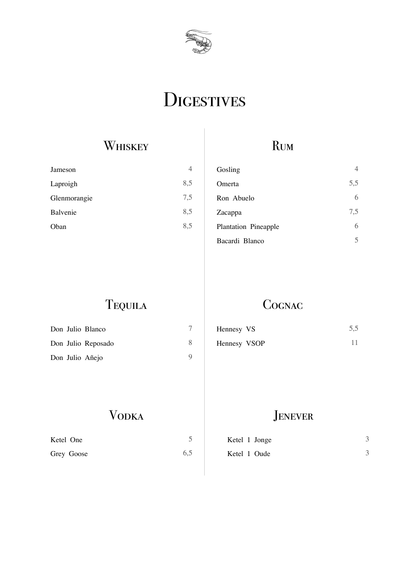

# **DIGESTIVES**

## **WHISKEY**

| 4   |
|-----|
| 8,5 |
| 7,5 |
| 8,5 |
| 8,5 |
|     |

### Rum

| Gosling                     | 4   |
|-----------------------------|-----|
| Omerta                      | 5,5 |
| Ron Abuelo                  | 6   |
| Zacappa                     | 7,5 |
| <b>Plantation Pineapple</b> | 6   |
| Bacardi Blanco              |     |

Tequila

### **COGNAC**

| Don Julio Blanco   | Hennesy VS   | 5,5 |
|--------------------|--------------|-----|
| Don Julio Reposado | Hennesy VSOP |     |
| Don Julio Añejo    |              |     |

## Vodka

| Ketel One  |     |
|------------|-----|
| Grey Goose | 6,5 |

#### **JENEVER**

| Ketel 1 Jonge |  |
|---------------|--|
| Ketel 1 Oude  |  |